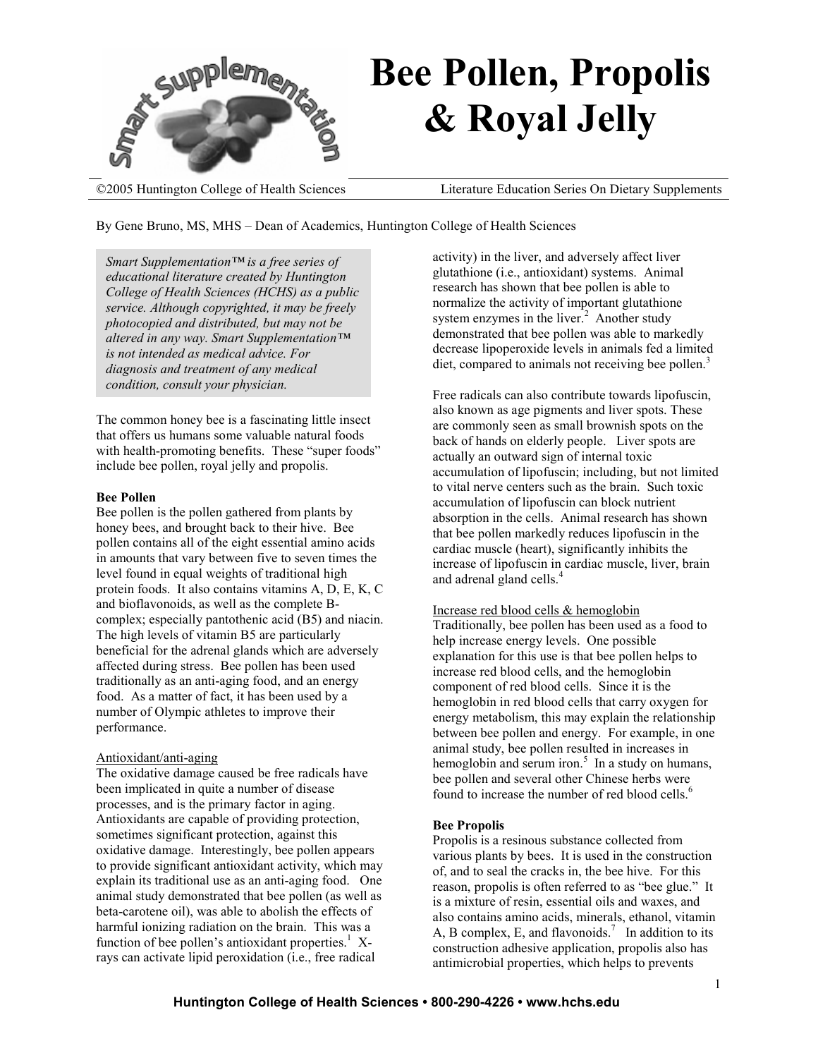

By Gene Bruno, MS, MHS – Dean of Academics, Huntington College of Health Sciences

*Smart Supplementation™ is a free series of educational literature created by Huntington College of Health Sciences (HCHS) as a public service. Although copyrighted, it may be freely photocopied and distributed, but may not be altered in any way. Smart Supplementation™ is not intended as medical advice. For diagnosis and treatment of any medical condition, consult your physician.* 

The common honey bee is a fascinating little insect that offers us humans some valuable natural foods with health-promoting benefits. These "super foods" include bee pollen, royal jelly and propolis.

#### **Bee Pollen**

Bee pollen is the pollen gathered from plants by honey bees, and brought back to their hive. Bee pollen contains all of the eight essential amino acids in amounts that vary between five to seven times the level found in equal weights of traditional high protein foods. It also contains vitamins A, D, E, K, C and bioflavonoids, as well as the complete Bcomplex; especially pantothenic acid (B5) and niacin. The high levels of vitamin B5 are particularly beneficial for the adrenal glands which are adversely affected during stress. Bee pollen has been used traditionally as an anti-aging food, and an energy food. As a matter of fact, it has been used by a number of Olympic athletes to improve their performance.

#### Antioxidant/anti-aging

The oxidative damage caused be free radicals have been implicated in quite a number of disease processes, and is the primary factor in aging. Antioxidants are capable of providing protection, sometimes significant protection, against this oxidative damage. Interestingly, bee pollen appears to provide significant antioxidant activity, which may explain its traditional use as an anti-aging food. One animal study demonstrated that bee pollen (as well as beta-carotene oil), was able to abolish the effects of harmful ionizing radiation on the brain. This was a function of bee pollen's antioxidant properties.<sup>1</sup> Xrays can activate lipid peroxidation (i.e., free radical

activity) in the liver, and adversely affect liver glutathione (i.e., antioxidant) systems. Animal research has shown that bee pollen is able to normalize the activity of important glutathione system enzymes in the liver. $2$  Another study demonstrated that bee pollen was able to markedly decrease lipoperoxide levels in animals fed a limited diet, compared to animals not receiving bee pollen.<sup>3</sup>

Free radicals can also contribute towards lipofuscin, also known as age pigments and liver spots. These are commonly seen as small brownish spots on the back of hands on elderly people. Liver spots are actually an outward sign of internal toxic accumulation of lipofuscin; including, but not limited to vital nerve centers such as the brain. Such toxic accumulation of lipofuscin can block nutrient absorption in the cells. Animal research has shown that bee pollen markedly reduces lipofuscin in the cardiac muscle (heart), significantly inhibits the increase of lipofuscin in cardiac muscle, liver, brain and adrenal gland cells.<sup>4</sup>

#### Increase red blood cells & hemoglobin

Traditionally, bee pollen has been used as a food to help increase energy levels. One possible explanation for this use is that bee pollen helps to increase red blood cells, and the hemoglobin component of red blood cells. Since it is the hemoglobin in red blood cells that carry oxygen for energy metabolism, this may explain the relationship between bee pollen and energy. For example, in one animal study, bee pollen resulted in increases in hemoglobin and serum iron.<sup>5</sup> In a study on humans, bee pollen and several other Chinese herbs were found to increase the number of red blood cells.<sup>6</sup>

#### **Bee Propolis**

Propolis is a resinous substance collected from various plants by bees. It is used in the construction of, and to seal the cracks in, the bee hive. For this reason, propolis is often referred to as "bee glue." It is a mixture of resin, essential oils and waxes, and also contains amino acids, minerals, ethanol, vitamin A, B complex, E, and flavonoids.<sup>7</sup> In addition to its construction adhesive application, propolis also has antimicrobial properties, which helps to prevents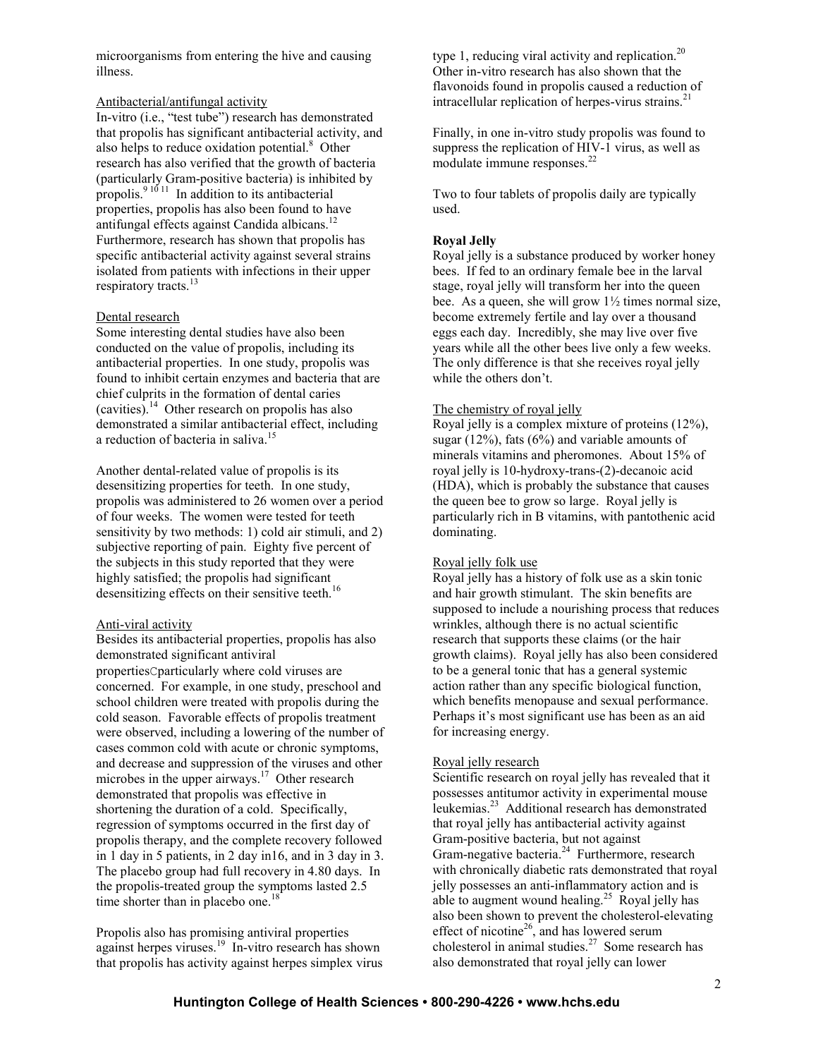microorganisms from entering the hive and causing illness.

## Antibacterial/antifungal activity

In-vitro (i.e., "test tube") research has demonstrated that propolis has significant antibacterial activity, and also helps to reduce oxidation potential.<sup>8</sup> Other research has also verified that the growth of bacteria (particularly Gram-positive bacteria) is inhibited by propolis.<sup>9 10 11</sup> In addition to its antibacterial properties, propolis has also been found to have antifungal effects against Candida albicans.<sup>12</sup> Furthermore, research has shown that propolis has specific antibacterial activity against several strains isolated from patients with infections in their upper respiratory tracts.<sup>13</sup>

### Dental research

Some interesting dental studies have also been conducted on the value of propolis, including its antibacterial properties. In one study, propolis was found to inhibit certain enzymes and bacteria that are chief culprits in the formation of dental caries (cavities).<sup>14</sup> Other research on propolis has also demonstrated a similar antibacterial effect, including a reduction of bacteria in saliva.<sup>15</sup>

Another dental-related value of propolis is its desensitizing properties for teeth. In one study, propolis was administered to 26 women over a period of four weeks. The women were tested for teeth sensitivity by two methods: 1) cold air stimuli, and 2) subjective reporting of pain. Eighty five percent of the subjects in this study reported that they were highly satisfied; the propolis had significant desensitizing effects on their sensitive teeth.<sup>16</sup>

#### Anti-viral activity

Besides its antibacterial properties, propolis has also demonstrated significant antiviral propertiesCparticularly where cold viruses are concerned. For example, in one study, preschool and school children were treated with propolis during the cold season. Favorable effects of propolis treatment were observed, including a lowering of the number of cases common cold with acute or chronic symptoms, and decrease and suppression of the viruses and other microbes in the upper airways.<sup>17</sup> Other research demonstrated that propolis was effective in shortening the duration of a cold. Specifically, regression of symptoms occurred in the first day of propolis therapy, and the complete recovery followed in 1 day in 5 patients, in 2 day in16, and in 3 day in 3. The placebo group had full recovery in 4.80 days. In the propolis-treated group the symptoms lasted 2.5 time shorter than in placebo one.<sup>18</sup>

Propolis also has promising antiviral properties against herpes viruses.<sup>19</sup> In-vitro research has shown that propolis has activity against herpes simplex virus

type 1, reducing viral activity and replication.<sup>20</sup> Other in-vitro research has also shown that the flavonoids found in propolis caused a reduction of intracellular replication of herpes-virus strains. $^{21}$ 

Finally, in one in-vitro study propolis was found to suppress the replication of HIV-1 virus, as well as modulate immune responses.<sup>22</sup>

Two to four tablets of propolis daily are typically used.

## **Royal Jelly**

Royal jelly is a substance produced by worker honey bees. If fed to an ordinary female bee in the larval stage, royal jelly will transform her into the queen bee. As a queen, she will grow  $1\frac{1}{2}$  times normal size, become extremely fertile and lay over a thousand eggs each day. Incredibly, she may live over five years while all the other bees live only a few weeks. The only difference is that she receives royal jelly while the others don't.

### The chemistry of royal jelly

Royal jelly is a complex mixture of proteins (12%), sugar  $(12\%)$ , fats  $(6\%)$  and variable amounts of minerals vitamins and pheromones. About 15% of royal jelly is 10-hydroxy-trans-(2)-decanoic acid (HDA), which is probably the substance that causes the queen bee to grow so large. Royal jelly is particularly rich in B vitamins, with pantothenic acid dominating.

## Royal jelly folk use

Royal jelly has a history of folk use as a skin tonic and hair growth stimulant. The skin benefits are supposed to include a nourishing process that reduces wrinkles, although there is no actual scientific research that supports these claims (or the hair growth claims). Royal jelly has also been considered to be a general tonic that has a general systemic action rather than any specific biological function, which benefits menopause and sexual performance. Perhaps it's most significant use has been as an aid for increasing energy.

#### Royal jelly research

Scientific research on royal jelly has revealed that it possesses antitumor activity in experimental mouse leukemias.<sup>23</sup> Additional research has demonstrated that royal jelly has antibacterial activity against Gram-positive bacteria, but not against Gram-negative bacteria.<sup>24</sup> Furthermore, research with chronically diabetic rats demonstrated that royal jelly possesses an anti-inflammatory action and is able to augment wound healing.<sup>25</sup> Royal jelly has also been shown to prevent the cholesterol-elevating effect of nicotine<sup>26</sup>, and has lowered serum cholesterol in animal studies. $27$  Some research has also demonstrated that royal jelly can lower